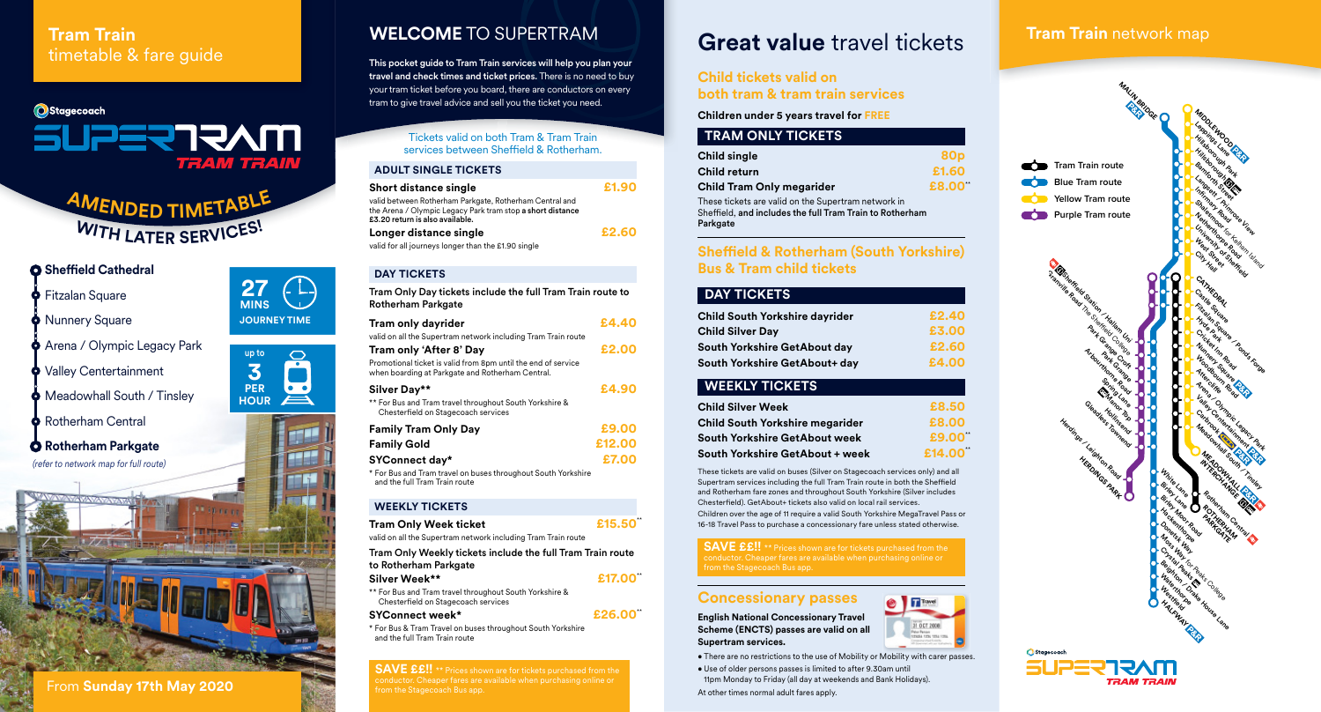## **Tram Train** timetable & fare guide

# **O**Stagecoach **MVALLESUS**

 $AMENDED$ **TIMETABLE <sup>W</sup>IT<sup>H</sup> <sup>L</sup>ATE<sup>R</sup> <sup>S</sup>ERVICES!**

## **O** Sheffield Cathedral

- **S** Fitzalan Square
- Nunnery Square
- **Arena / Olympic Legacy Park**
- Walley Centertainment
- **Meadowhall South / Tinsley**
- Rotherham Central

**Rotherham Parkgate** (refer to network map for full route)

## **WELCOME** TO SUPERTRAM

This pocket guide to Tram Train services will help you plan your travel and check times and ticket prices. There is no need to buy your tram ticket before you board, there are conductors on every tram to give travel advice and sell you the ticket you need.

> Tickets valid on both Tram & Tram Train services between Sheffield & Rotherham.

### **ADULT SINGLE TICKETS**

| <b>Short distance single</b>                                                                                                                             | £1.90 |
|----------------------------------------------------------------------------------------------------------------------------------------------------------|-------|
| valid between Rotherham Parkgate, Rotherham Central and<br>the Arena / Olympic Legacy Park tram stop a short distance<br>£3.20 return is also available. |       |
| Longer distance single                                                                                                                                   | £2.60 |
| valid for all journeys longer than the £1.90 single                                                                                                      |       |

#### **DAY TICKETS**

Tram Only Day tickets include the full Tram Train route to Rotherham Parkgate **Tram only dayrider £4.40**

| fram only dayrider                                                                                                | 7. W. W.U |
|-------------------------------------------------------------------------------------------------------------------|-----------|
| valid on all the Supertram network including Tram Train route                                                     |           |
| Tram only 'After 8' Day                                                                                           | £2.00     |
| Promotional ticket is valid from 8pm until the end of service<br>when boarding at Parkgate and Rotherham Central. |           |
| Silver Day**                                                                                                      | £4.90     |
| ** For Bus and Tram travel throughout South Yorkshire &<br>Chesterfield on Stagecoach services                    |           |
| <b>Family Tram Only Day</b>                                                                                       | £9.00     |
| <b>Family Gold</b>                                                                                                | £12.00    |
| <b>SYConnect day*</b>                                                                                             | £7.00     |
| * For Bus and Tram travel on buses throughout South Yorkshire                                                     |           |

and the full Tram Train route

#### **WEEKLY TICKETS**

| <b>Tram Only Week ticket</b>                                                        | £15.50 |
|-------------------------------------------------------------------------------------|--------|
| valid on all the Supertram network including Tram Train route                       |        |
| Tram Only Weekly tickets include the full Tram Train route<br>to Rotherham Parkgate |        |
| Silver Week**                                                                       | £17.00 |
| ** Ear Rus and Tram travel throughout South Varkshire &                             |        |

For Bus and Tram travel throughout South Yorkshire & Chester field on Stagecoach services

#### £26.00  $SYConnect week*$

\* For Bus & Tram Travel on buses throughout South Yorkshire and the full Tram Train route

**SAVE ££!!** \*\* Prices shown are for tickets purchased from the conductor. Cheaper fares are available when purchasing online or from the Stagecoach Bus app.

## **Great value** travel tickets

## **Child tickets valid on both tram & tram train services**

**Children under 5 years travel for FREE**

## **TRAM ONLY TICKETS**

| <b>Child single</b>                                                                                                         | 80 <sub>p</sub> |
|-----------------------------------------------------------------------------------------------------------------------------|-----------------|
| Child return                                                                                                                | £1.60           |
| Child Tram Only megarider                                                                                                   | £8.00"          |
| These tickets are valid on the Supertram network in<br>Sheffield, and includes the full Tram Train to Rotherham<br>Parkgate |                 |

## **Sheffield & Rotherham (South Yorkshire) Bus & Tram child tickets**

## **DAY TICKETS**

| <b>Child South Yorkshire dayrider</b> | £2.40 |
|---------------------------------------|-------|
| <b>Child Silver Day</b>               | £3.00 |
| South Yorkshire GetAbout day          | £2.60 |
| South Yorkshire GetAbout+ day         | £4.00 |
|                                       |       |

## **WEEKLY TICKETS**

| <b>Child Silver Week</b>               | £8.50  |
|----------------------------------------|--------|
| <b>Child South Yorkshire megarider</b> | £8.00  |
| <b>South Yorkshire GetAbout week</b>   | £9.00  |
| <b>South Yorkshire GetAbout + week</b> | £14.00 |

\*\* \*\*

31 OCT 2006

These tickets are valid on buses (Silver on Stagecoach services only) and all Supertram services including the full Tram Train route in both the Sheffield and Rotherham fare zones and throughout South Yorkshire (Silver includes Chesterfield). GetAbout+ tickets also valid on local rail services. Children over the age of 11 require a valid South Yorkshire MegaTravel Pass or 16-18 Travel Pass to purchase a concessionary fare unless stated otherwise.

**SAVE ££!!** \*\* Prices shown are for tickets purchased from the conductor. Cheaper fares are available when purchasing online or

### **Concessionary passes**

**English National Concessionary Travel Scheme (ENCTS) passes are valid on all Supertram services.** 

• There are no restrictions to the use of Mobility or Mobility with carer passes.

• Use of older persons passes is limited to after 9.30am until 11pm Monday to Friday (all day at weekends and Bank Holidays). At other times normal adult fares apply.



**Tram Train** network map





**27 MINS**